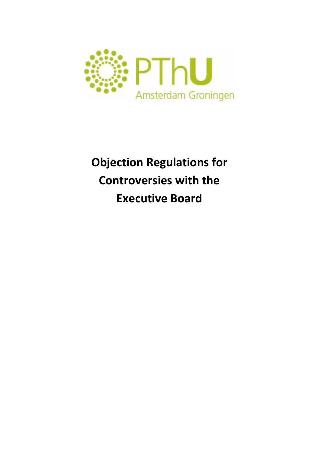

## **Objection Regulations for Controversies with the Executive Board**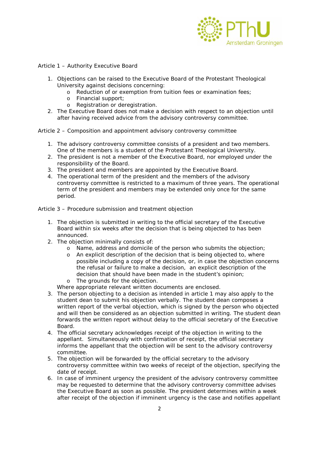

Article 1 – Authority Executive Board

- 1. Objections can be raised to the Executive Board of the Protestant Theological University against decisions concerning:
	- o Reduction of or exemption from tuition fees or examination fees;
	- o Financial support;
	- o Registration or deregistration.
- 2. The Executive Board does not make a decision with respect to an objection until after having received advice from the advisory controversy committee.

Article 2 – Composition and appointment advisory controversy committee

- 1. The advisory controversy committee consists of a president and two members. One of the members is a student of the Protestant Theological University.
- 2. The president is not a member of the Executive Board, nor employed under the responsibility of the Board.
- 3. The president and members are appointed by the Executive Board.
- 4. The operational term of the president and the members of the advisory controversy committee is restricted to a maximum of three years. The operational term of the president and members may be extended only once for the same period.

Article 3 – Procedure submission and treatment objection

- 1. The objection is submitted in writing to the official secretary of the Executive Board within six weeks after the decision that is being objected to has been announced.
- 2. The objection minimally consists of:
	- o Name, address and domicile of the person who submits the objection;
	- o An explicit description of the decision that is being objected to, where possible including a copy of the decision, or, in case the objection concerns the refusal or failure to make a decision, an explicit description of the decision that should have been made in the student's opinion;
	- The grounds for the objection.

Where appropriate relevant written documents are enclosed.

- 3. The person objecting to a decision as intended in article 1 may also apply to the student dean to submit his objection verbally. The student dean composes a written report of the verbal objection, which is signed by the person who objected and will then be considered as an objection submitted in writing. The student dean forwards the written report without delay to the official secretary of the Executive Board.
- 4. The official secretary acknowledges receipt of the objection in writing to the appellant. Simultaneously with confirmation of receipt, the official secretary informs the appellant that the objection will be sent to the advisory controversy committee.
- 5. The objection will be forwarded by the official secretary to the advisory controversy committee within two weeks of receipt of the objection, specifying the date of receipt.
- 6. In case of imminent urgency the president of the advisory controversy committee may be requested to determine that the advisory controversy committee advises the Executive Board as soon as possible. The president determines within a week after receipt of the objection if imminent urgency is the case and notifies appellant